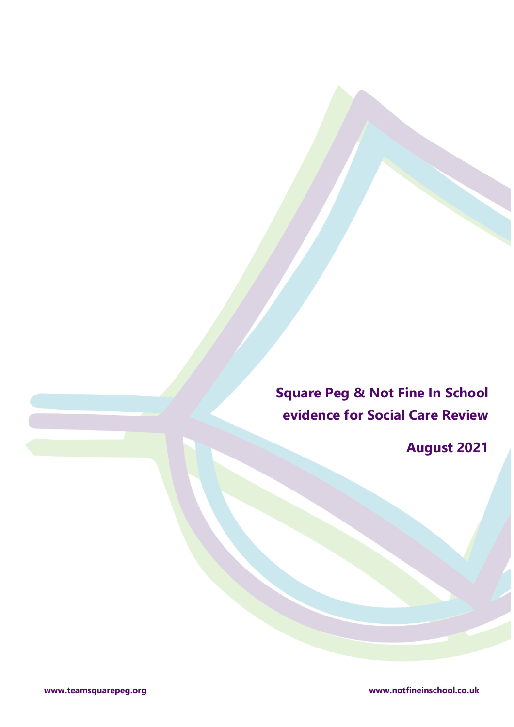**Square Peg & Not Fine In School evidence for Social Care Review**

**August 2021**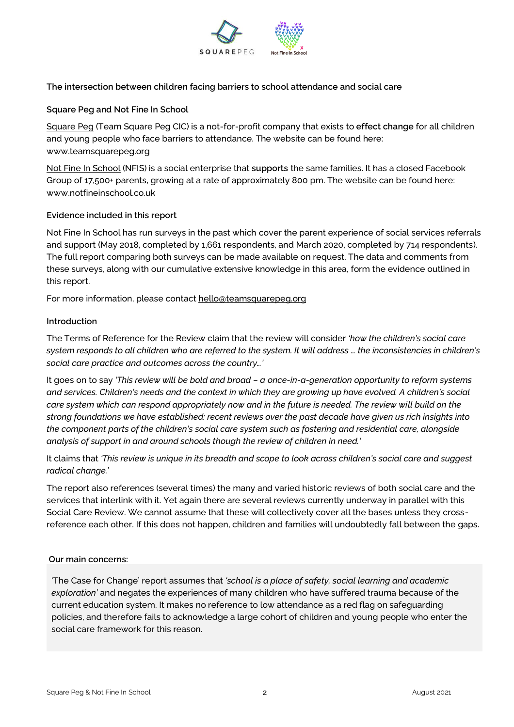

## **The intersection between children facing barriers to school attendance and social care**

### **Square Peg and Not Fine In School**

[Square Peg](http://www.teamsquarepeg.org/) (Team Square Peg CIC) is a not-for-profit company that exists to **effect change** for all children and young people who face barriers to attendance. The website can be found here: www.teamsquarepeg.org

[Not Fine In School](http://www.notfineinschool.co.uk/) (NFIS) is a social enterprise that **supports** the same families. It has a closed Facebook Group of 17,500+ parents, growing at a rate of approximately 800 pm. The website can be found here: www.notfineinschool.co.uk

## **Evidence included in this report**

Not Fine In School has run surveys in the past which cover the parent experience of social services referrals and support (May 2018, completed by 1,661 respondents, and March 2020, completed by 714 respondents). The full report comparing both surveys can be made available on request. The data and comments from these surveys, along with our cumulative extensive knowledge in this area, form the evidence outlined in this report.

For more information, please contac[t hello@teamsquarepeg.org](mailto:hello@teamsquarepeg.org)

## **Introduction**

The Terms of Reference for the Review claim that the review will consider *'how the children's social care system responds to all children who are referred to the system. It will address … the inconsistencies in children's social care practice and outcomes across the country…'*

It goes on to say *'This review will be bold and broad – a once-in-a-generation opportunity to reform systems and services. Children's needs and the context in which they are growing up have evolved. A children's social care system which can respond appropriately now and in the future is needed. The review will build on the strong foundations we have established: recent reviews over the past decade have given us rich insights into the component parts of the children's social care system such as fostering and residential care, alongside analysis of support in and around schools though the review of children in need.'* 

It claims that *'This review is unique in its breadth and scope to look across children's social care and suggest radical change.*'

The report also references (several times) the many and varied historic reviews of both social care and the services that interlink with it. Yet again there are several reviews currently underway in parallel with this Social Care Review. We cannot assume that these will collectively cover all the bases unless they crossreference each other. If this does not happen, children and families will undoubtedly fall between the gaps.

### **Our main concerns:**

'The Case for Change' report assumes that *'school is a place of safety, social learning and academic exploration'* and negates the experiences of many children who have suffered trauma because of the current education system. It makes no reference to low attendance as a red flag on safeguarding policies, and therefore fails to acknowledge a large cohort of children and young people who enter the social care framework for this reason.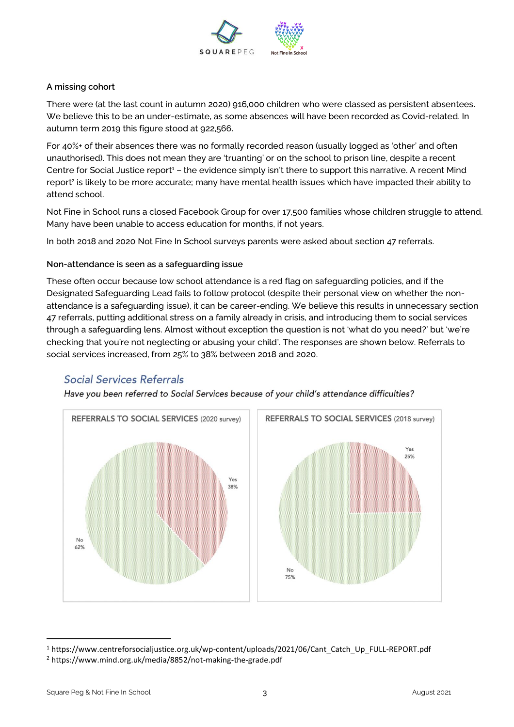

### **A missing cohort**

There were (at the last count in autumn 2020) 916,000 children who were classed as persistent absentees. We believe this to be an under-estimate, as some absences will have been recorded as Covid-related. In autumn term 2019 this figure stood at 922,566.

For 40%+ of their absences there was no formally recorded reason (usually logged as 'other' and often unauthorised). This does not mean they are 'truanting' or on the school to prison line, despite a recent Centre for Social Justice report<sup>1</sup> – the evidence simply isn't there to support this narrative. A recent Mind report<sup>2</sup> is likely to be more accurate; many have mental health issues which have impacted their ability to attend school.

Not Fine in School runs a closed Facebook Group for over 17,500 families whose children struggle to attend. Many have been unable to access education for months, if not years.

In both 2018 and 2020 Not Fine In School surveys parents were asked about section 47 referrals.

## **Non-attendance is seen as a safeguarding issue**

These often occur because low school attendance is a red flag on safeguarding policies, and if the Designated Safeguarding Lead fails to follow protocol (despite their personal view on whether the nonattendance is a safeguarding issue), it can be career-ending. We believe this results in unnecessary section 47 referrals, putting additional stress on a family already in crisis, and introducing them to social services through a safeguarding lens. Almost without exception the question is not 'what do you need?' but 'we're checking that you're not neglecting or abusing your child'. The responses are shown below. Referrals to social services increased, from 25% to 38% between 2018 and 2020.

# Social Services Referrals

Have vou been referred to Social Services because of vour child's attendance difficulties?



<sup>1</sup> https://www.centreforsocialjustice.org.uk/wp-content/uploads/2021/06/Cant\_Catch\_Up\_FULL-REPORT.pdf

<sup>2</sup> https://www.mind.org.uk/media/8852/not-making-the-grade.pdf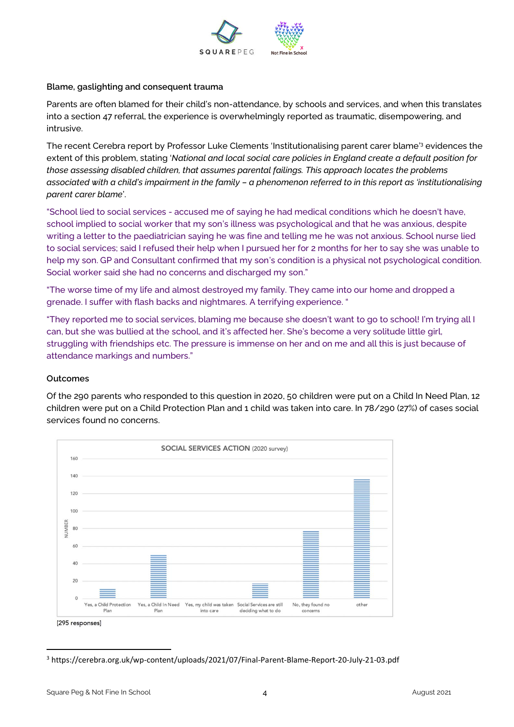

#### **Blame, gaslighting and consequent trauma**

Parents are often blamed for their child's non-attendance, by schools and services, and when this translates into a section 47 referral, the experience is overwhelmingly reported as traumatic, disempowering, and intrusive.

The recent Cerebra report by Professor Luke Clements 'Institutionalising parent carer blame' <sup>3</sup> evidences the extent of this problem, stating '*National and local social care policies in England create a default position for those assessing disabled children, that assumes parental failings. This approach locates the problems associated with a child's impairment in the family – a phenomenon referred to in this report as 'institutionalising parent carer blame*'.

"School lied to social services - accused me of saying he had medical conditions which he doesn't have, school implied to social worker that my son's illness was psychological and that he was anxious, despite writing a letter to the paediatrician saying he was fine and telling me he was not anxious. School nurse lied to social services; said I refused their help when I pursued her for 2 months for her to say she was unable to help my son. GP and Consultant confirmed that my son's condition is a physical not psychological condition. Social worker said she had no concerns and discharged my son."

"The worse time of my life and almost destroyed my family. They came into our home and dropped a grenade. I suffer with flash backs and nightmares. A terrifying experience. "

"They reported me to social services, blaming me because she doesn't want to go to school! I'm trying all I can, but she was bullied at the school, and it's affected her. She's become a very solitude little girl, struggling with friendships etc. The pressure is immense on her and on me and all this is just because of attendance markings and numbers."

#### **Outcomes**

Of the 290 parents who responded to this question in 2020, 50 children were put on a Child In Need Plan, 12 children were put on a Child Protection Plan and 1 child was taken into care. In 78/290 (27%) of cases social services found no concerns.



<sup>3</sup> https://cerebra.org.uk/wp-content/uploads/2021/07/Final-Parent-Blame-Report-20-July-21-03.pdf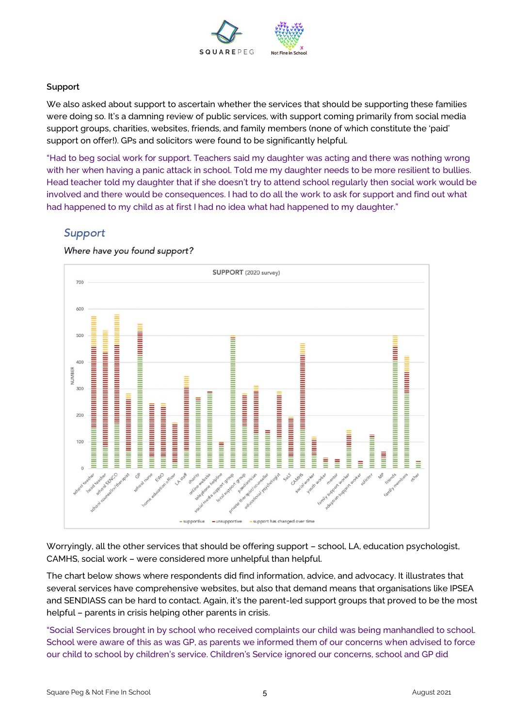

#### **Support**

We also asked about support to ascertain whether the services that should be supporting these families were doing so. It's a damning review of public services, with support coming primarily from social media support groups, charities, websites, friends, and family members (none of which constitute the 'paid' support on offer!). GPs and solicitors were found to be significantly helpful.

"Had to beg social work for support. Teachers said my daughter was acting and there was nothing wrong with her when having a panic attack in school. Told me my daughter needs to be more resilient to bullies. Head teacher told my daughter that if she doesn't try to attend school regularly then social work would be involved and there would be consequences. I had to do all the work to ask for support and find out what had happened to my child as at first I had no idea what had happened to my daughter."

# Support



Where have you found support?

Worryingly, all the other services that should be offering support – school, LA, education psychologist, CAMHS, social work – were considered more unhelpful than helpful.

The chart below shows where respondents did find information, advice, and advocacy. It illustrates that several services have comprehensive websites, but also that demand means that organisations like IPSEA and SENDIASS can be hard to contact. Again, it's the parent-led support groups that proved to be the most helpful – parents in crisis helping other parents in crisis.

"Social Services brought in by school who received complaints our child was being manhandled to school. School were aware of this as was GP, as parents we informed them of our concerns when advised to force our child to school by children's service. Children's Service ignored our concerns, school and GP did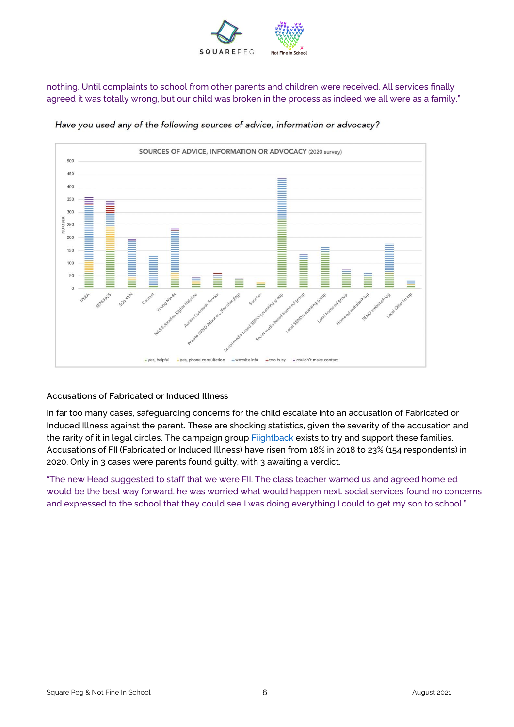

nothing. Until complaints to school from other parents and children were received. All services finally agreed it was totally wrong, but our child was broken in the process as indeed we all were as a family."



Have you used any of the following sources of advice, information or advocacy?

## **Accusations of Fabricated or Induced Illness**

In far too many cases, safeguarding concerns for the child escalate into an accusation of Fabricated or Induced Illness against the parent. These are shocking statistics, given the severity of the accusation and the rarity of it in legal circles. The campaign group **Fiightback** exists to try and support these families. Accusations of FII (Fabricated or Induced Illness) have risen from 18% in 2018 to 23% (154 respondents) in 2020. Only in 3 cases were parents found guilty, with 3 awaiting a verdict.

"The new Head suggested to staff that we were FII. The class teacher warned us and agreed home ed would be the best way forward, he was worried what would happen next. social services found no concerns and expressed to the school that they could see I was doing everything I could to get my son to school."